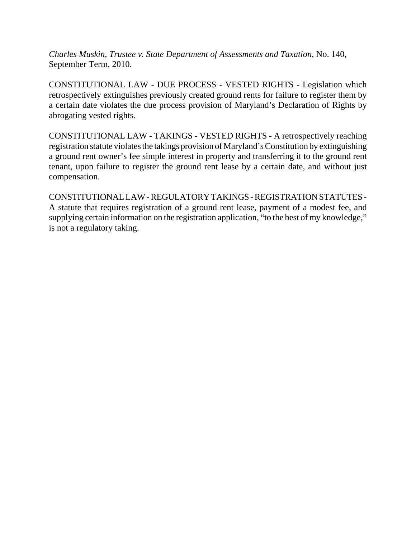*Charles Muskin, Trustee v. State Department of Assessments and Taxation*, No. 140, September Term, 2010.

CONSTITUTIONAL LAW - DUE PROCESS - VESTED RIGHTS - Legislation which retrospectively extinguishes previously created ground rents for failure to register them by a certain date violates the due process provision of Maryland's Declaration of Rights by abrogating vested rights.

CONSTITUTIONAL LAW - TAKINGS - VESTED RIGHTS - A retrospectively reaching registration statute violates the takings provision of Maryland's Constitution by extinguishing a ground rent owner's fee simple interest in property and transferring it to the ground rent tenant, upon failure to register the ground rent lease by a certain date, and without just compensation.

CONSTITUTIONAL LAW - REGULATORY TAKINGS - REGISTRATION STATUTES - A statute that requires registration of a ground rent lease, payment of a modest fee, and supplying certain information on the registration application, "to the best of my knowledge," is not a regulatory taking.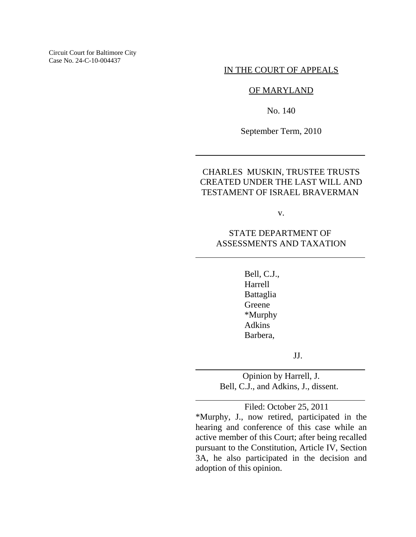Circuit Court for Baltimore City Case No. 24-C-10-004437

IN THE COURT OF APPEALS

### OF MARYLAND

No. 140

September Term, 2010

 $\overline{\phantom{a}}$ 

l

l

l

# CHARLES MUSKIN, TRUSTEE TRUSTS CREATED UNDER THE LAST WILL AND TESTAMENT OF ISRAEL BRAVERMAN

v.

### STATE DEPARTMENT OF ASSESSMENTS AND TAXATION

Bell, C.J., Harrell Battaglia Greene \*Murphy Adkins Barbera,

JJ.

Opinion by Harrell, J. Bell, C.J., and Adkins, J., dissent.

Filed: October 25, 2011

\*Murphy, J., now retired, participated in the hearing and conference of this case while an active member of this Court; after being recalled pursuant to the Constitution, Article IV, Section 3A, he also participated in the decision and adoption of this opinion.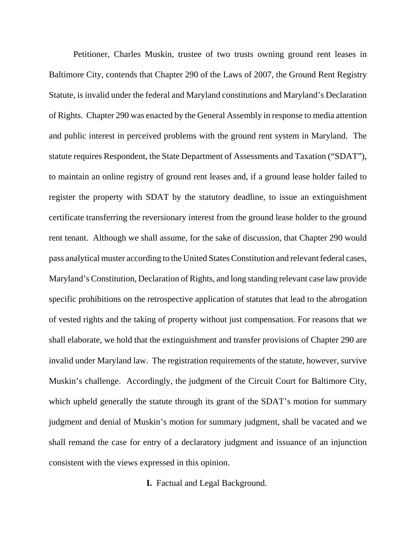Petitioner, Charles Muskin, trustee of two trusts owning ground rent leases in Baltimore City, contends that Chapter 290 of the Laws of 2007, the Ground Rent Registry Statute, is invalid under the federal and Maryland constitutions and Maryland's Declaration of Rights. Chapter 290 was enacted by the General Assembly in response to media attention and public interest in perceived problems with the ground rent system in Maryland. The statute requires Respondent, the State Department of Assessments and Taxation ("SDAT"), to maintain an online registry of ground rent leases and, if a ground lease holder failed to register the property with SDAT by the statutory deadline, to issue an extinguishment certificate transferring the reversionary interest from the ground lease holder to the ground rent tenant. Although we shall assume, for the sake of discussion, that Chapter 290 would pass analytical muster according to the United States Constitution and relevant federal cases, Maryland's Constitution, Declaration of Rights, and long standing relevant case law provide specific prohibitions on the retrospective application of statutes that lead to the abrogation of vested rights and the taking of property without just compensation. For reasons that we shall elaborate, we hold that the extinguishment and transfer provisions of Chapter 290 are invalid under Maryland law. The registration requirements of the statute, however, survive Muskin's challenge. Accordingly, the judgment of the Circuit Court for Baltimore City, which upheld generally the statute through its grant of the SDAT's motion for summary judgment and denial of Muskin's motion for summary judgment, shall be vacated and we shall remand the case for entry of a declaratory judgment and issuance of an injunction consistent with the views expressed in this opinion.

**I.** Factual and Legal Background.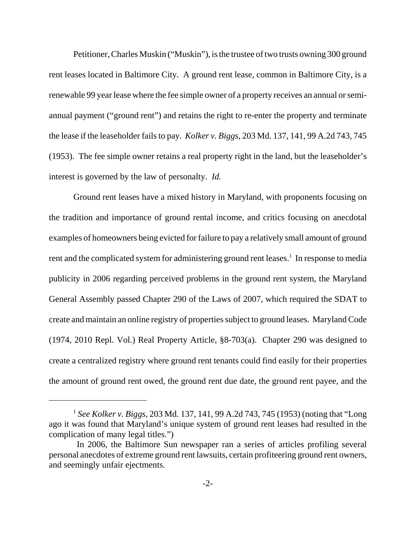Petitioner, Charles Muskin ("Muskin"), is the trustee of two trusts owning 300 ground rent leases located in Baltimore City. A ground rent lease, common in Baltimore City, is a renewable 99 year lease where the fee simple owner of a property receives an annual or semiannual payment ("ground rent") and retains the right to re-enter the property and terminate the lease if the leaseholder fails to pay. *Kolker v. Biggs*, 203 Md. 137, 141, 99 A.2d 743, 745 (1953). The fee simple owner retains a real property right in the land, but the leaseholder's interest is governed by the law of personalty. *Id.*

Ground rent leases have a mixed history in Maryland, with proponents focusing on the tradition and importance of ground rental income, and critics focusing on anecdotal examples of homeowners being evicted for failure to pay a relatively small amount of ground rent and the complicated system for administering ground rent leases.<sup>1</sup> In response to media publicity in 2006 regarding perceived problems in the ground rent system, the Maryland General Assembly passed Chapter 290 of the Laws of 2007, which required the SDAT to create and maintain an online registry of properties subject to ground leases. Maryland Code (1974, 2010 Repl. Vol.) Real Property Article, §8-703(a). Chapter 290 was designed to create a centralized registry where ground rent tenants could find easily for their properties the amount of ground rent owed, the ground rent due date, the ground rent payee, and the

<sup>1</sup> *See Kolker v. Biggs*, 203 Md. 137, 141, 99 A.2d 743, 745 (1953) (noting that "Long ago it was found that Maryland's unique system of ground rent leases had resulted in the complication of many legal titles.")

In 2006, the Baltimore Sun newspaper ran a series of articles profiling several personal anecdotes of extreme ground rent lawsuits, certain profiteering ground rent owners, and seemingly unfair ejectments.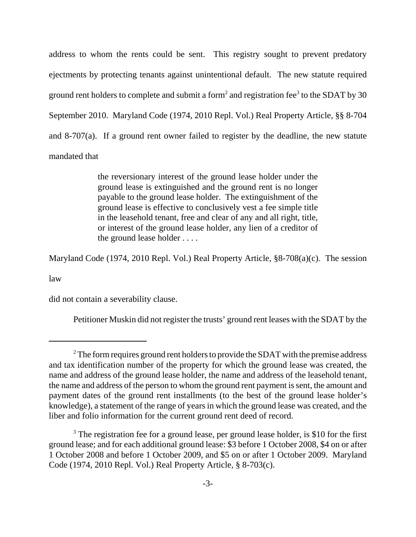address to whom the rents could be sent. This registry sought to prevent predatory ejectments by protecting tenants against unintentional default. The new statute required ground rent holders to complete and submit a form<sup>2</sup> and registration fee<sup>3</sup> to the SDAT by 30 September 2010. Maryland Code (1974, 2010 Repl. Vol.) Real Property Article, §§ 8-704 and 8-707(a). If a ground rent owner failed to register by the deadline, the new statute mandated that

> the reversionary interest of the ground lease holder under the ground lease is extinguished and the ground rent is no longer payable to the ground lease holder. The extinguishment of the ground lease is effective to conclusively vest a fee simple title in the leasehold tenant, free and clear of any and all right, title, or interest of the ground lease holder, any lien of a creditor of the ground lease holder . . . .

Maryland Code (1974, 2010 Repl. Vol.) Real Property Article, §8-708(a)(c). The session

law

did not contain a severability clause.

Petitioner Muskin did not register the trusts' ground rent leases with the SDAT by the

 $2^2$  The form requires ground rent holders to provide the SDAT with the premise address and tax identification number of the property for which the ground lease was created, the name and address of the ground lease holder, the name and address of the leasehold tenant, the name and address of the person to whom the ground rent payment is sent, the amount and payment dates of the ground rent installments (to the best of the ground lease holder's knowledge), a statement of the range of years in which the ground lease was created, and the liber and folio information for the current ground rent deed of record.

<sup>&</sup>lt;sup>3</sup> The registration fee for a ground lease, per ground lease holder, is \$10 for the first ground lease; and for each additional ground lease: \$3 before 1 October 2008, \$4 on or after 1 October 2008 and before 1 October 2009, and \$5 on or after 1 October 2009. Maryland Code (1974, 2010 Repl. Vol.) Real Property Article, § 8-703(c).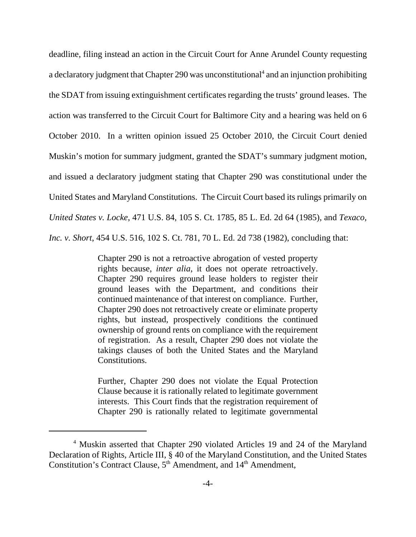deadline, filing instead an action in the Circuit Court for Anne Arundel County requesting a declaratory judgment that Chapter 290 was unconstitutional<sup>4</sup> and an injunction prohibiting the SDAT from issuing extinguishment certificates regarding the trusts' ground leases. The action was transferred to the Circuit Court for Baltimore City and a hearing was held on 6 October 2010. In a written opinion issued 25 October 2010, the Circuit Court denied Muskin's motion for summary judgment, granted the SDAT's summary judgment motion, and issued a declaratory judgment stating that Chapter 290 was constitutional under the United States and Maryland Constitutions. The Circuit Court based its rulings primarily on *United States v. Locke*, 471 U.S. 84, 105 S. Ct. 1785, 85 L. Ed. 2d 64 (1985), and *Texaco, Inc. v. Short*, 454 U.S. 516, 102 S. Ct. 781, 70 L. Ed. 2d 738 (1982), concluding that:

> Chapter 290 is not a retroactive abrogation of vested property rights because, *inter alia*, it does not operate retroactively. Chapter 290 requires ground lease holders to register their ground leases with the Department, and conditions their continued maintenance of that interest on compliance. Further, Chapter 290 does not retroactively create or eliminate property rights, but instead, prospectively conditions the continued ownership of ground rents on compliance with the requirement of registration. As a result, Chapter 290 does not violate the takings clauses of both the United States and the Maryland Constitutions.

> Further, Chapter 290 does not violate the Equal Protection Clause because it is rationally related to legitimate government interests. This Court finds that the registration requirement of Chapter 290 is rationally related to legitimate governmental

<sup>4</sup> Muskin asserted that Chapter 290 violated Articles 19 and 24 of the Maryland Declaration of Rights, Article III, § 40 of the Maryland Constitution, and the United States Constitution's Contract Clause, 5<sup>th</sup> Amendment, and 14<sup>th</sup> Amendment,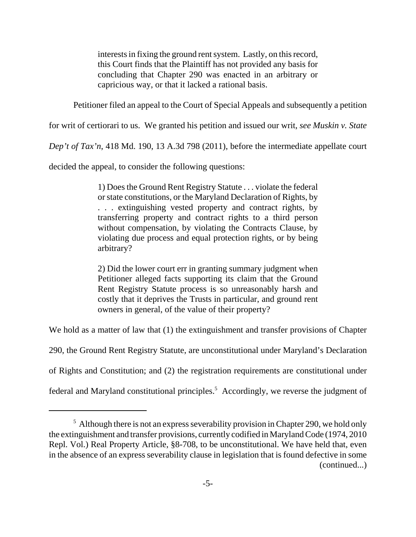interests in fixing the ground rent system. Lastly, on this record, this Court finds that the Plaintiff has not provided any basis for concluding that Chapter 290 was enacted in an arbitrary or capricious way, or that it lacked a rational basis.

Petitioner filed an appeal to the Court of Special Appeals and subsequently a petition

for writ of certiorari to us. We granted his petition and issued our writ, *see Muskin v. State*

*Dep't of Tax'n*, 418 Md. 190, 13 A.3d 798 (2011), before the intermediate appellate court

decided the appeal, to consider the following questions:

1) Does the Ground Rent Registry Statute . . . violate the federal or state constitutions, or the Maryland Declaration of Rights, by . . . extinguishing vested property and contract rights, by transferring property and contract rights to a third person without compensation, by violating the Contracts Clause, by violating due process and equal protection rights, or by being arbitrary?

2) Did the lower court err in granting summary judgment when Petitioner alleged facts supporting its claim that the Ground Rent Registry Statute process is so unreasonably harsh and costly that it deprives the Trusts in particular, and ground rent owners in general, of the value of their property?

We hold as a matter of law that (1) the extinguishment and transfer provisions of Chapter

290, the Ground Rent Registry Statute, are unconstitutional under Maryland's Declaration

of Rights and Constitution; and (2) the registration requirements are constitutional under

federal and Maryland constitutional principles.<sup>5</sup> Accordingly, we reverse the judgment of

 $<sup>5</sup>$  Although there is not an express severability provision in Chapter 290, we hold only</sup> the extinguishment and transfer provisions, currently codified in Maryland Code (1974, 2010 Repl. Vol.) Real Property Article, §8-708, to be unconstitutional. We have held that, even in the absence of an express severability clause in legislation that is found defective in some (continued...)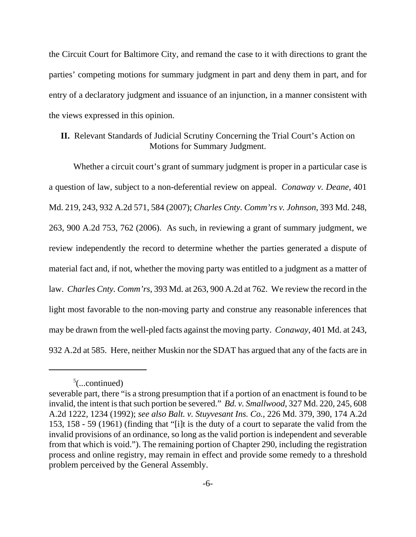the Circuit Court for Baltimore City, and remand the case to it with directions to grant the parties' competing motions for summary judgment in part and deny them in part, and for entry of a declaratory judgment and issuance of an injunction, in a manner consistent with the views expressed in this opinion.

# **II.** Relevant Standards of Judicial Scrutiny Concerning the Trial Court's Action on Motions for Summary Judgment.

Whether a circuit court's grant of summary judgment is proper in a particular case is a question of law, subject to a non-deferential review on appeal. *Conaway v. Deane*, 401 Md. 219, 243, 932 A.2d 571, 584 (2007); *Charles Cnty. Comm'rs v. Johnson*, 393 Md. 248, 263, 900 A.2d 753, 762 (2006). As such, in reviewing a grant of summary judgment, we review independently the record to determine whether the parties generated a dispute of material fact and, if not, whether the moving party was entitled to a judgment as a matter of law. *Charles Cnty. Comm'rs*, 393 Md. at 263, 900 A.2d at 762. We review the record in the light most favorable to the non-moving party and construe any reasonable inferences that may be drawn from the well-pled facts against the moving party. *Conaway*, 401 Md. at 243, 932 A.2d at 585. Here, neither Muskin nor the SDAT has argued that any of the facts are in

 $5$ (...continued)

severable part, there "is a strong presumption that if a portion of an enactment is found to be invalid, the intent is that such portion be severed." *Bd. v. Smallwood*, 327 Md. 220, 245, 608 A.2d 1222, 1234 (1992); *see also Balt. v. Stuyvesant Ins. Co.*, 226 Md. 379, 390, 174 A.2d 153, 158 - 59 (1961) (finding that "[i]t is the duty of a court to separate the valid from the invalid provisions of an ordinance, so long as the valid portion is independent and severable from that which is void."). The remaining portion of Chapter 290, including the registration process and online registry, may remain in effect and provide some remedy to a threshold problem perceived by the General Assembly.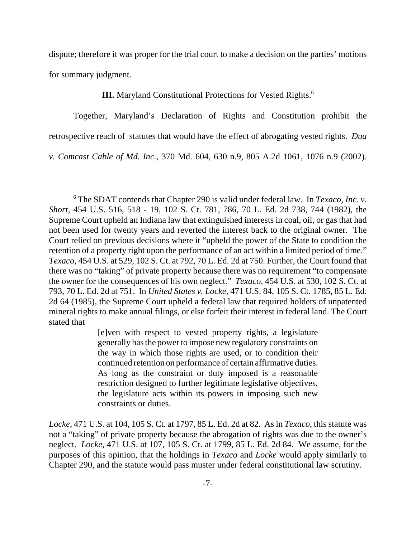dispute; therefore it was proper for the trial court to make a decision on the parties' motions for summary judgment.

# **III.** Maryland Constitutional Protections for Vested Rights.<sup>6</sup>

Together, Maryland's Declaration of Rights and Constitution prohibit the retrospective reach of statutes that would have the effect of abrogating vested rights. *Dua*

*v. Comcast Cable of Md. Inc.*, 370 Md. 604, 630 n.9, 805 A.2d 1061, 1076 n.9 (2002).

[e]ven with respect to vested property rights, a legislature generally has the power to impose new regulatory constraints on the way in which those rights are used, or to condition their continued retention on performance of certain affirmative duties. As long as the constraint or duty imposed is a reasonable restriction designed to further legitimate legislative objectives, the legislature acts within its powers in imposing such new constraints or duties.

*Locke*, 471 U.S. at 104, 105 S. Ct. at 1797, 85 L. Ed. 2d at 82. As in *Texaco*, this statute was not a "taking" of private property because the abrogation of rights was due to the owner's neglect. *Locke*, 471 U.S. at 107, 105 S. Ct. at 1799, 85 L. Ed. 2d 84. We assume, for the purposes of this opinion, that the holdings in *Texaco* and *Locke* would apply similarly to Chapter 290, and the statute would pass muster under federal constitutional law scrutiny.

<sup>6</sup> The SDAT contends that Chapter 290 is valid under federal law. In *Texaco, Inc. v. Short*, 454 U.S. 516, 518 - 19, 102 S. Ct. 781, 786, 70 L. Ed. 2d 738, 744 (1982), the Supreme Court upheld an Indiana law that extinguished interests in coal, oil, or gas that had not been used for twenty years and reverted the interest back to the original owner. The Court relied on previous decisions where it "upheld the power of the State to condition the retention of a property right upon the performance of an act within a limited period of time." *Texaco*, 454 U.S. at 529, 102 S. Ct. at 792, 70 L. Ed. 2d at 750. Further, the Court found that there was no "taking" of private property because there was no requirement "to compensate the owner for the consequences of his own neglect." *Texaco*, 454 U.S. at 530, 102 S. Ct. at 793, 70 L. Ed. 2d at 751. In *United States v. Locke*, 471 U.S. 84, 105 S. Ct. 1785, 85 L. Ed. 2d 64 (1985), the Supreme Court upheld a federal law that required holders of unpatented mineral rights to make annual filings, or else forfeit their interest in federal land. The Court stated that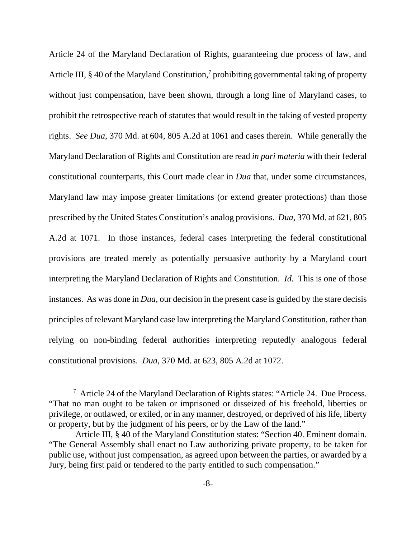Article 24 of the Maryland Declaration of Rights, guaranteeing due process of law, and Article III, § 40 of the Maryland Constitution,<sup>7</sup> prohibiting governmental taking of property without just compensation, have been shown, through a long line of Maryland cases, to prohibit the retrospective reach of statutes that would result in the taking of vested property rights. *See Dua*, 370 Md. at 604, 805 A.2d at 1061 and cases therein. While generally the Maryland Declaration of Rights and Constitution are read *in pari materia* with their federal constitutional counterparts, this Court made clear in *Dua* that, under some circumstances, Maryland law may impose greater limitations (or extend greater protections) than those prescribed by the United States Constitution's analog provisions. *Dua*, 370 Md. at 621, 805 A.2d at 1071. In those instances, federal cases interpreting the federal constitutional provisions are treated merely as potentially persuasive authority by a Maryland court interpreting the Maryland Declaration of Rights and Constitution. *Id.* This is one of those instances. As was done in *Dua*, our decision in the present case is guided by the stare decisis principles of relevant Maryland case law interpreting the Maryland Constitution, rather than relying on non-binding federal authorities interpreting reputedly analogous federal constitutional provisions. *Dua*, 370 Md. at 623, 805 A.2d at 1072.

 $7$  Article 24 of the Maryland Declaration of Rights states: "Article 24. Due Process. "That no man ought to be taken or imprisoned or disseized of his freehold, liberties or privilege, or outlawed, or exiled, or in any manner, destroyed, or deprived of his life, liberty or property, but by the judgment of his peers, or by the Law of the land."

Article III, § 40 of the Maryland Constitution states: "Section 40. Eminent domain. "The General Assembly shall enact no Law authorizing private property, to be taken for public use, without just compensation, as agreed upon between the parties, or awarded by a Jury, being first paid or tendered to the party entitled to such compensation."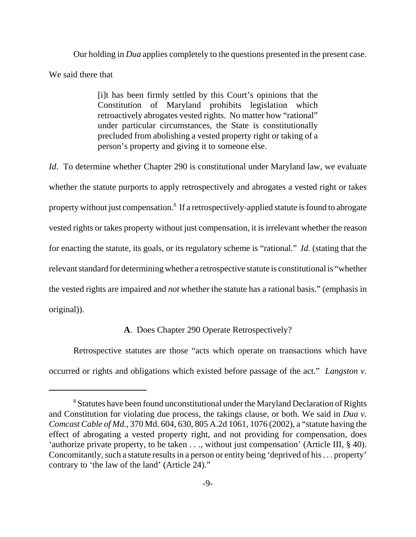Our holding in *Dua* applies completely to the questions presented in the present case. We said there that

> [i]t has been firmly settled by this Court's opinions that the Constitution of Maryland prohibits legislation which retroactively abrogates vested rights. No matter how "rational" under particular circumstances, the State is constitutionally precluded from abolishing a vested property right or taking of a person's property and giving it to someone else.

*Id.* To determine whether Chapter 290 is constitutional under Maryland law, we evaluate whether the statute purports to apply retrospectively and abrogates a vested right or takes property without just compensation.<sup>8</sup> If a retrospectively-applied statute is found to abrogate vested rights or takes property without just compensation, it is irrelevant whether the reason for enacting the statute, its goals, or its regulatory scheme is "rational." *Id.* (stating that the relevant standard for determining whether a retrospective statute is constitutional is "whether the vested rights are impaired and *not* whether the statute has a rational basis." (emphasis in original)).

## **A**. Does Chapter 290 Operate Retrospectively?

Retrospective statutes are those "acts which operate on transactions which have occurred or rights and obligations which existed before passage of the act." *Langston v.*

<sup>&</sup>lt;sup>8</sup> Statutes have been found unconstitutional under the Maryland Declaration of Rights and Constitution for violating due process, the takings clause, or both. We said in *Dua v. Comcast Cable of Md.*, 370 Md. 604, 630, 805 A.2d 1061, 1076 (2002), a "statute having the effect of abrogating a vested property right, and not providing for compensation, does 'authorize private property, to be taken . . ., without just compensation' (Article III, § 40). Concomitantly, such a statute results in a person or entity being 'deprived of his . . . property' contrary to 'the law of the land' (Article 24)."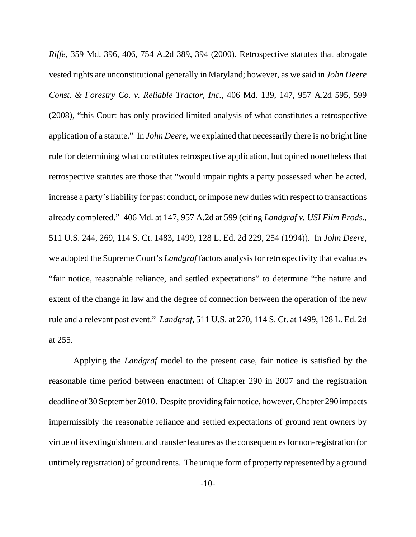*Riffe*, 359 Md. 396, 406, 754 A.2d 389, 394 (2000). Retrospective statutes that abrogate vested rights are unconstitutional generally in Maryland; however, as we said in *John Deere Const. & Forestry Co. v. Reliable Tractor, Inc.*, 406 Md. 139, 147, 957 A.2d 595, 599 (2008), "this Court has only provided limited analysis of what constitutes a retrospective application of a statute." In *John Deere*, we explained that necessarily there is no bright line rule for determining what constitutes retrospective application, but opined nonetheless that retrospective statutes are those that "would impair rights a party possessed when he acted, increase a party's liability for past conduct, or impose new duties with respect to transactions already completed." 406 Md. at 147, 957 A.2d at 599 (citing *Landgraf v. USI Film Prods.*, 511 U.S. 244, 269, 114 S. Ct. 1483, 1499, 128 L. Ed. 2d 229, 254 (1994)). In *John Deere*, we adopted the Supreme Court's *Landgraf* factors analysis for retrospectivity that evaluates "fair notice, reasonable reliance, and settled expectations" to determine "the nature and extent of the change in law and the degree of connection between the operation of the new rule and a relevant past event." *Landgraf*, 511 U.S. at 270, 114 S. Ct. at 1499, 128 L. Ed. 2d at 255.

Applying the *Landgraf* model to the present case, fair notice is satisfied by the reasonable time period between enactment of Chapter 290 in 2007 and the registration deadline of 30 September 2010. Despite providing fair notice, however, Chapter 290 impacts impermissibly the reasonable reliance and settled expectations of ground rent owners by virtue of its extinguishment and transfer features as the consequences for non-registration (or untimely registration) of ground rents. The unique form of property represented by a ground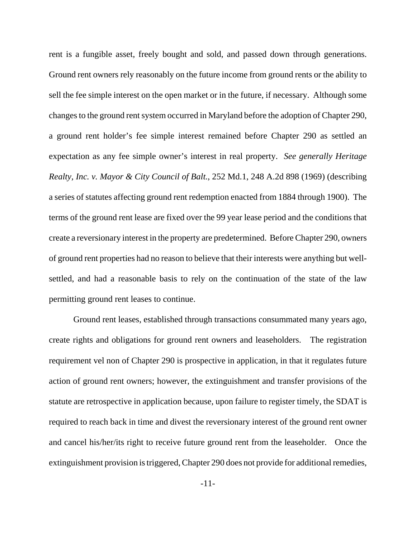rent is a fungible asset, freely bought and sold, and passed down through generations. Ground rent owners rely reasonably on the future income from ground rents or the ability to sell the fee simple interest on the open market or in the future, if necessary. Although some changes to the ground rent system occurred in Maryland before the adoption of Chapter 290, a ground rent holder's fee simple interest remained before Chapter 290 as settled an expectation as any fee simple owner's interest in real property. *See generally Heritage Realty, Inc. v. Mayor & City Council of Balt.*, 252 Md.1, 248 A.2d 898 (1969) (describing a series of statutes affecting ground rent redemption enacted from 1884 through 1900). The terms of the ground rent lease are fixed over the 99 year lease period and the conditions that create a reversionary interest in the property are predetermined. Before Chapter 290, owners of ground rent properties had no reason to believe that their interests were anything but wellsettled, and had a reasonable basis to rely on the continuation of the state of the law permitting ground rent leases to continue.

Ground rent leases, established through transactions consummated many years ago, create rights and obligations for ground rent owners and leaseholders. The registration requirement vel non of Chapter 290 is prospective in application, in that it regulates future action of ground rent owners; however, the extinguishment and transfer provisions of the statute are retrospective in application because, upon failure to register timely, the SDAT is required to reach back in time and divest the reversionary interest of the ground rent owner and cancel his/her/its right to receive future ground rent from the leaseholder. Once the extinguishment provision is triggered, Chapter 290 does not provide for additional remedies,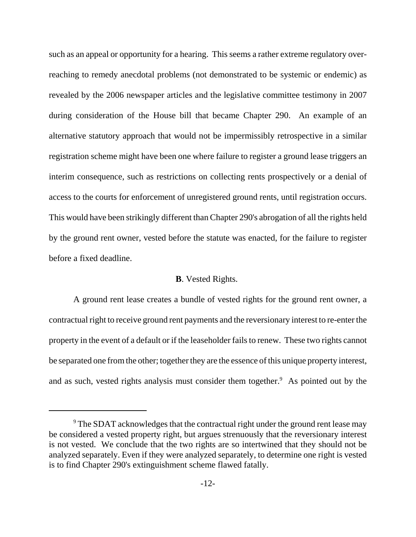such as an appeal or opportunity for a hearing. This seems a rather extreme regulatory overreaching to remedy anecdotal problems (not demonstrated to be systemic or endemic) as revealed by the 2006 newspaper articles and the legislative committee testimony in 2007 during consideration of the House bill that became Chapter 290. An example of an alternative statutory approach that would not be impermissibly retrospective in a similar registration scheme might have been one where failure to register a ground lease triggers an interim consequence, such as restrictions on collecting rents prospectively or a denial of access to the courts for enforcement of unregistered ground rents, until registration occurs. This would have been strikingly different than Chapter 290's abrogation of all the rights held by the ground rent owner, vested before the statute was enacted, for the failure to register before a fixed deadline.

#### **B**. Vested Rights.

A ground rent lease creates a bundle of vested rights for the ground rent owner, a contractual right to receive ground rent payments and the reversionary interest to re-enter the property in the event of a default or if the leaseholder fails to renew. These two rights cannot be separated one from the other; together they are the essence of this unique property interest, and as such, vested rights analysis must consider them together.<sup>9</sup> As pointed out by the

<sup>&</sup>lt;sup>9</sup> The SDAT acknowledges that the contractual right under the ground rent lease may be considered a vested property right, but argues strenuously that the reversionary interest is not vested. We conclude that the two rights are so intertwined that they should not be analyzed separately. Even if they were analyzed separately, to determine one right is vested is to find Chapter 290's extinguishment scheme flawed fatally.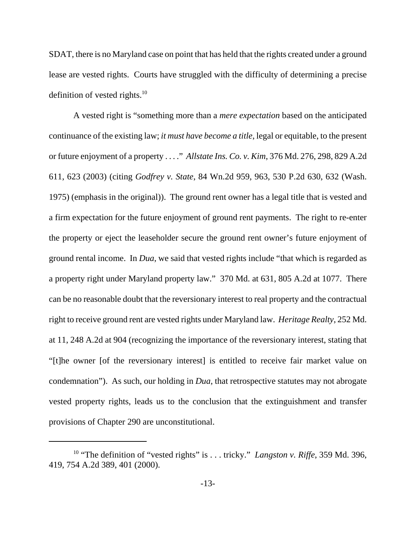SDAT, there is no Maryland case on point that has held that the rights created under a ground lease are vested rights. Courts have struggled with the difficulty of determining a precise definition of vested rights. $10$ 

A vested right is "something more than a *mere expectation* based on the anticipated continuance of the existing law; *it must have become a title*, legal or equitable, to the present or future enjoyment of a property . . . ." *Allstate Ins. Co. v. Kim*, 376 Md. 276, 298, 829 A.2d 611, 623 (2003) (citing *Godfrey v. State*, 84 Wn.2d 959, 963, 530 P.2d 630, 632 (Wash. 1975) (emphasis in the original)). The ground rent owner has a legal title that is vested and a firm expectation for the future enjoyment of ground rent payments. The right to re-enter the property or eject the leaseholder secure the ground rent owner's future enjoyment of ground rental income. In *Dua*, we said that vested rights include "that which is regarded as a property right under Maryland property law." 370 Md. at 631, 805 A.2d at 1077. There can be no reasonable doubt that the reversionary interest to real property and the contractual right to receive ground rent are vested rights under Maryland law. *Heritage Realty*, 252 Md. at 11, 248 A.2d at 904 (recognizing the importance of the reversionary interest, stating that "[t]he owner [of the reversionary interest] is entitled to receive fair market value on condemnation"). As such, our holding in *Dua*, that retrospective statutes may not abrogate vested property rights, leads us to the conclusion that the extinguishment and transfer provisions of Chapter 290 are unconstitutional.

<sup>&</sup>lt;sup>10</sup> "The definition of "vested rights" is . . . tricky." *Langston v. Riffe*, 359 Md. 396, 419, 754 A.2d 389, 401 (2000).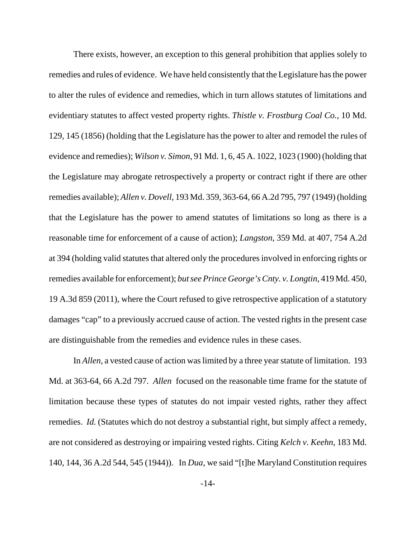There exists, however, an exception to this general prohibition that applies solely to remedies and rules of evidence. We have held consistently that the Legislature has the power to alter the rules of evidence and remedies, which in turn allows statutes of limitations and evidentiary statutes to affect vested property rights. *Thistle v. Frostburg Coal Co.*, 10 Md. 129, 145 (1856) (holding that the Legislature has the power to alter and remodel the rules of evidence and remedies); *Wilson v. Simon*, 91 Md. 1, 6, 45 A. 1022, 1023 (1900) (holding that the Legislature may abrogate retrospectively a property or contract right if there are other remedies available); *Allen v. Dovell*, 193 Md. 359, 363-64, 66 A.2d 795, 797 (1949) (holding that the Legislature has the power to amend statutes of limitations so long as there is a reasonable time for enforcement of a cause of action); *Langston*, 359 Md. at 407, 754 A.2d at 394 (holding valid statutes that altered only the procedures involved in enforcing rights or remedies available for enforcement); *but see Prince George's Cnty. v. Longtin*, 419 Md. 450, 19 A.3d 859 (2011), where the Court refused to give retrospective application of a statutory damages "cap" to a previously accrued cause of action. The vested rights in the present case are distinguishable from the remedies and evidence rules in these cases.

In *Allen*, a vested cause of action was limited by a three year statute of limitation. 193 Md. at 363-64, 66 A.2d 797. *Allen* focused on the reasonable time frame for the statute of limitation because these types of statutes do not impair vested rights, rather they affect remedies. *Id.* (Statutes which do not destroy a substantial right, but simply affect a remedy, are not considered as destroying or impairing vested rights. Citing *Kelch v. Keehn*, 183 Md. 140, 144, 36 A.2d 544, 545 (1944)). In *Dua*, we said "[t]he Maryland Constitution requires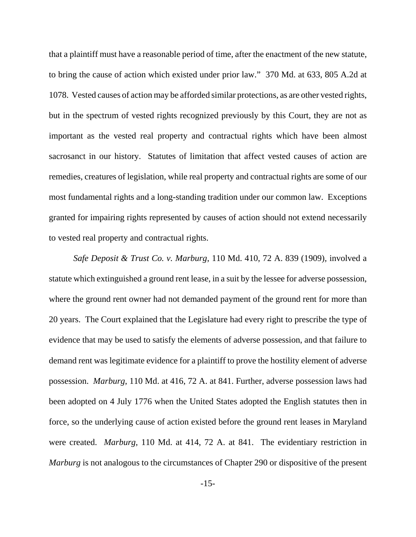that a plaintiff must have a reasonable period of time, after the enactment of the new statute, to bring the cause of action which existed under prior law." 370 Md. at 633, 805 A.2d at 1078. Vested causes of action may be afforded similar protections, as are other vested rights, but in the spectrum of vested rights recognized previously by this Court, they are not as important as the vested real property and contractual rights which have been almost sacrosanct in our history. Statutes of limitation that affect vested causes of action are remedies, creatures of legislation, while real property and contractual rights are some of our most fundamental rights and a long-standing tradition under our common law. Exceptions granted for impairing rights represented by causes of action should not extend necessarily to vested real property and contractual rights.

*Safe Deposit & Trust Co. v. Marburg*, 110 Md. 410, 72 A. 839 (1909)*,* involved a statute which extinguished a ground rent lease, in a suit by the lessee for adverse possession, where the ground rent owner had not demanded payment of the ground rent for more than 20 years. The Court explained that the Legislature had every right to prescribe the type of evidence that may be used to satisfy the elements of adverse possession, and that failure to demand rent was legitimate evidence for a plaintiff to prove the hostility element of adverse possession. *Marburg*, 110 Md. at 416, 72 A. at 841. Further, adverse possession laws had been adopted on 4 July 1776 when the United States adopted the English statutes then in force, so the underlying cause of action existed before the ground rent leases in Maryland were created. *Marburg*, 110 Md. at 414, 72 A. at 841. The evidentiary restriction in *Marburg* is not analogous to the circumstances of Chapter 290 or dispositive of the present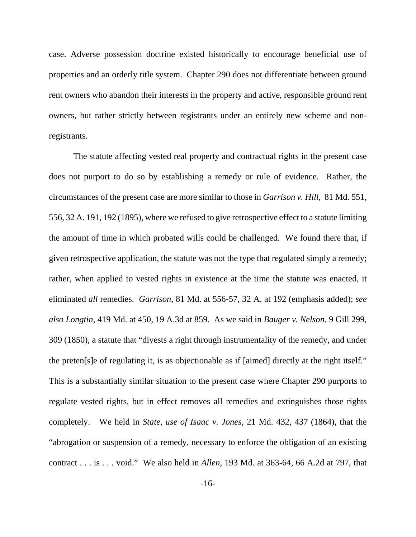case. Adverse possession doctrine existed historically to encourage beneficial use of properties and an orderly title system. Chapter 290 does not differentiate between ground rent owners who abandon their interests in the property and active, responsible ground rent owners, but rather strictly between registrants under an entirely new scheme and nonregistrants.

The statute affecting vested real property and contractual rights in the present case does not purport to do so by establishing a remedy or rule of evidence. Rather, the circumstances of the present case are more similar to those in *Garrison v. Hill*, 81 Md. 551, 556, 32 A. 191, 192 (1895), where we refused to give retrospective effect to a statute limiting the amount of time in which probated wills could be challenged. We found there that, if given retrospective application, the statute was not the type that regulated simply a remedy; rather, when applied to vested rights in existence at the time the statute was enacted, it eliminated *all* remedies. *Garrison*, 81 Md. at 556-57, 32 A. at 192 (emphasis added); *see also Longtin*, 419 Md. at 450, 19 A.3d at 859. As we said in *Bauger v. Nelson*, 9 Gill 299, 309 (1850), a statute that "divests a right through instrumentality of the remedy, and under the preten[s]e of regulating it, is as objectionable as if [aimed] directly at the right itself." This is a substantially similar situation to the present case where Chapter 290 purports to regulate vested rights, but in effect removes all remedies and extinguishes those rights completely. We held in *State, use of Isaac v. Jones*, 21 Md. 432, 437 (1864), that the "abrogation or suspension of a remedy, necessary to enforce the obligation of an existing contract . . . is . . . void." We also held in *Allen*, 193 Md. at 363-64, 66 A.2d at 797, that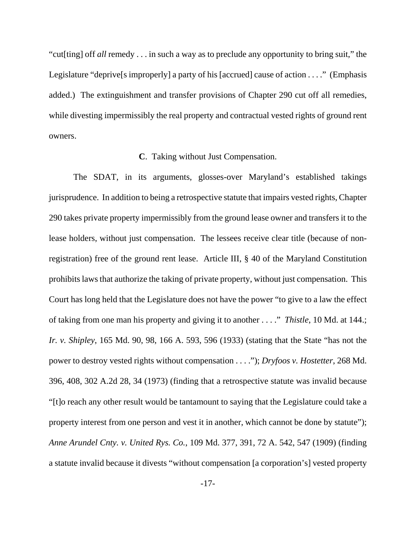"cut[ting] off *all* remedy . . . in such a way as to preclude any opportunity to bring suit," the Legislature "deprive [s improperly] a party of his [accrued] cause of action . . . ." (Emphasis added.) The extinguishment and transfer provisions of Chapter 290 cut off all remedies, while divesting impermissibly the real property and contractual vested rights of ground rent owners.

### **C**. Taking without Just Compensation.

The SDAT, in its arguments, glosses-over Maryland's established takings jurisprudence. In addition to being a retrospective statute that impairs vested rights, Chapter 290 takes private property impermissibly from the ground lease owner and transfers it to the lease holders, without just compensation. The lessees receive clear title (because of nonregistration) free of the ground rent lease. Article III, § 40 of the Maryland Constitution prohibits laws that authorize the taking of private property, without just compensation. This Court has long held that the Legislature does not have the power "to give to a law the effect of taking from one man his property and giving it to another . . . ." *Thistle*, 10 Md. at 144.; *Ir. v. Shipley*, 165 Md. 90, 98, 166 A. 593, 596 (1933) (stating that the State "has not the power to destroy vested rights without compensation . . . ."); *Dryfoos v. Hostetter*, 268 Md. 396, 408, 302 A.2d 28, 34 (1973) (finding that a retrospective statute was invalid because "[t]o reach any other result would be tantamount to saying that the Legislature could take a property interest from one person and vest it in another, which cannot be done by statute"); *Anne Arundel Cnty. v. United Rys. Co.*, 109 Md. 377, 391, 72 A. 542, 547 (1909) (finding a statute invalid because it divests "without compensation [a corporation's] vested property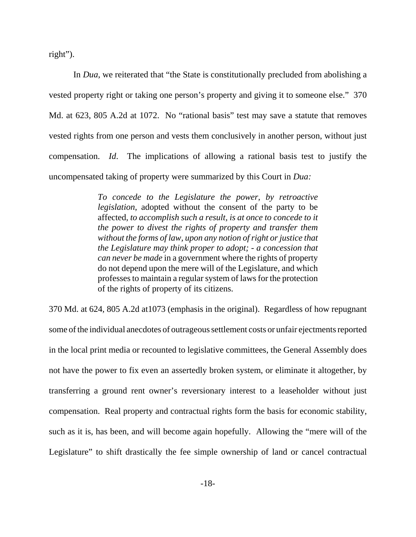right").

In *Dua*, we reiterated that "the State is constitutionally precluded from abolishing a vested property right or taking one person's property and giving it to someone else." 370 Md. at 623, 805 A.2d at 1072. No "rational basis" test may save a statute that removes vested rights from one person and vests them conclusively in another person, without just compensation. *Id*. The implications of allowing a rational basis test to justify the uncompensated taking of property were summarized by this Court in *Dua:*

> *To concede to the Legislature the power, by retroactive legislation*, adopted without the consent of the party to be affected, *to accomplish such a result, is at once to concede to it the power to divest the rights of property and transfer them without the forms of law, upon any notion of right or justice that the Legislature may think proper to adopt; - a concession that can never be made* in a government where the rights of property do not depend upon the mere will of the Legislature, and which professes to maintain a regular system of laws for the protection of the rights of property of its citizens.

370 Md. at 624, 805 A.2d at1073 (emphasis in the original). Regardless of how repugnant some of the individual anecdotes of outrageous settlement costs or unfair ejectments reported in the local print media or recounted to legislative committees, the General Assembly does not have the power to fix even an assertedly broken system, or eliminate it altogether, by transferring a ground rent owner's reversionary interest to a leaseholder without just compensation. Real property and contractual rights form the basis for economic stability, such as it is, has been, and will become again hopefully. Allowing the "mere will of the Legislature" to shift drastically the fee simple ownership of land or cancel contractual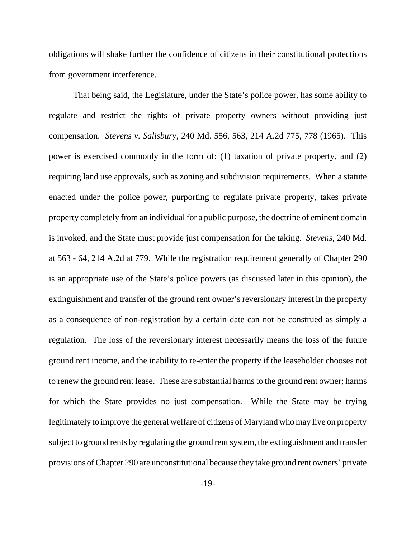obligations will shake further the confidence of citizens in their constitutional protections from government interference.

That being said, the Legislature, under the State's police power, has some ability to regulate and restrict the rights of private property owners without providing just compensation. *Stevens v. Salisbury*, 240 Md. 556, 563, 214 A.2d 775, 778 (1965). This power is exercised commonly in the form of: (1) taxation of private property, and (2) requiring land use approvals, such as zoning and subdivision requirements. When a statute enacted under the police power, purporting to regulate private property, takes private property completely from an individual for a public purpose, the doctrine of eminent domain is invoked, and the State must provide just compensation for the taking. *Stevens*, 240 Md. at 563 - 64, 214 A.2d at 779. While the registration requirement generally of Chapter 290 is an appropriate use of the State's police powers (as discussed later in this opinion), the extinguishment and transfer of the ground rent owner's reversionary interest in the property as a consequence of non-registration by a certain date can not be construed as simply a regulation. The loss of the reversionary interest necessarily means the loss of the future ground rent income, and the inability to re-enter the property if the leaseholder chooses not to renew the ground rent lease. These are substantial harms to the ground rent owner; harms for which the State provides no just compensation. While the State may be trying legitimately to improve the general welfare of citizens of Maryland who may live on property subject to ground rents by regulating the ground rent system, the extinguishment and transfer provisions of Chapter 290 are unconstitutional because they take ground rent owners' private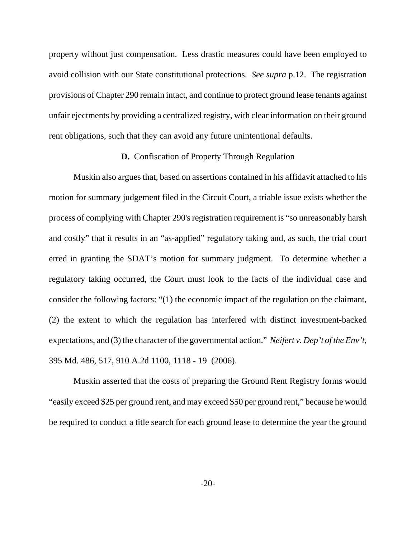property without just compensation. Less drastic measures could have been employed to avoid collision with our State constitutional protections. *See supra* p.12. The registration provisions of Chapter 290 remain intact, and continue to protect ground lease tenants against unfair ejectments by providing a centralized registry, with clear information on their ground rent obligations, such that they can avoid any future unintentional defaults.

### **D.** Confiscation of Property Through Regulation

Muskin also argues that, based on assertions contained in his affidavit attached to his motion for summary judgement filed in the Circuit Court, a triable issue exists whether the process of complying with Chapter 290's registration requirement is "so unreasonably harsh and costly" that it results in an "as-applied" regulatory taking and, as such, the trial court erred in granting the SDAT's motion for summary judgment. To determine whether a regulatory taking occurred, the Court must look to the facts of the individual case and consider the following factors: "(1) the economic impact of the regulation on the claimant, (2) the extent to which the regulation has interfered with distinct investment-backed expectations, and (3) the character of the governmental action." *Neifert v. Dep't of the Env't*, 395 Md. 486, 517, 910 A.2d 1100, 1118 - 19 (2006).

Muskin asserted that the costs of preparing the Ground Rent Registry forms would "easily exceed \$25 per ground rent, and may exceed \$50 per ground rent," because he would be required to conduct a title search for each ground lease to determine the year the ground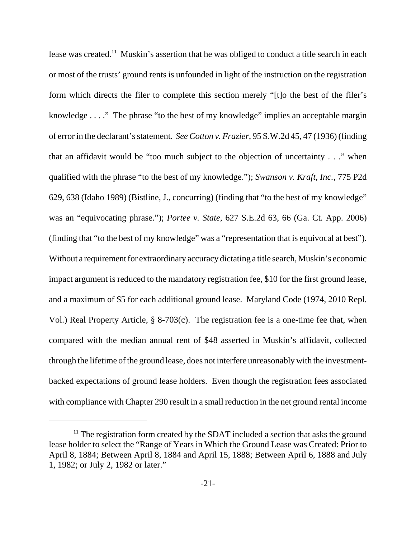lease was created.<sup>11</sup> Muskin's assertion that he was obliged to conduct a title search in each or most of the trusts' ground rents is unfounded in light of the instruction on the registration form which directs the filer to complete this section merely "[t]o the best of the filer's knowledge . . . ."The phrase "to the best of my knowledge" implies an acceptable margin of error in the declarant's statement. *See Cotton v. Frazier*, 95 S.W.2d 45, 47 (1936) (finding that an affidavit would be "too much subject to the objection of uncertainty . . ." when qualified with the phrase "to the best of my knowledge."); *Swanson v. Kraft, Inc.*, 775 P2d 629, 638 (Idaho 1989) (Bistline, J., concurring) (finding that "to the best of my knowledge" was an "equivocating phrase."); *Portee v. State*, 627 S.E.2d 63, 66 (Ga. Ct. App. 2006) (finding that "to the best of my knowledge" was a "representation that is equivocal at best"). Without a requirement for extraordinary accuracy dictating a title search, Muskin's economic impact argument is reduced to the mandatory registration fee, \$10 for the first ground lease, and a maximum of \$5 for each additional ground lease. Maryland Code (1974, 2010 Repl. Vol.) Real Property Article, § 8-703(c). The registration fee is a one-time fee that, when compared with the median annual rent of \$48 asserted in Muskin's affidavit, collected through the lifetime of the ground lease, does not interfere unreasonably with the investmentbacked expectations of ground lease holders. Even though the registration fees associated with compliance with Chapter 290 result in a small reduction in the net ground rental income

 $11$ <sup>11</sup> The registration form created by the SDAT included a section that asks the ground lease holder to select the "Range of Years in Which the Ground Lease was Created: Prior to April 8, 1884; Between April 8, 1884 and April 15, 1888; Between April 6, 1888 and July 1, 1982; or July 2, 1982 or later."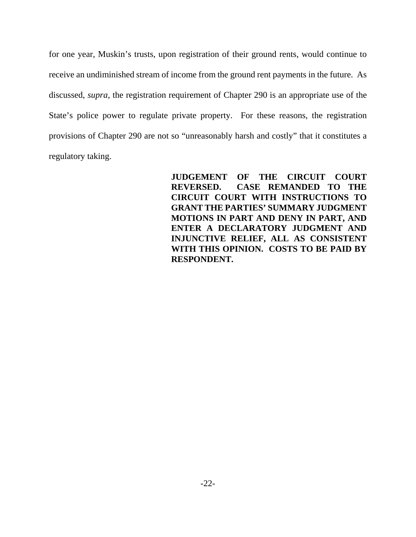for one year, Muskin's trusts, upon registration of their ground rents, would continue to receive an undiminished stream of income from the ground rent payments in the future. As discussed, *supra*, the registration requirement of Chapter 290 is an appropriate use of the State's police power to regulate private property. For these reasons, the registration provisions of Chapter 290 are not so "unreasonably harsh and costly" that it constitutes a regulatory taking.

> **JUDGEMENT OF THE CIRCUIT COURT REVERSED. CASE REMANDED TO THE CIRCUIT COURT WITH INSTRUCTIONS TO GRANT THE PARTIES' SUMMARY JUDGMENT MOTIONS IN PART AND DENY IN PART, AND ENTER A DECLARATORY JUDGMENT AND INJUNCTIVE RELIEF, ALL AS CONSISTENT WITH THIS OPINION. COSTS TO BE PAID BY RESPONDENT.**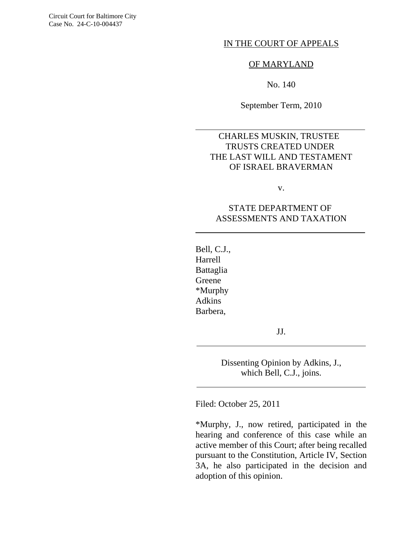Circuit Court for Baltimore City Case No. 24-C-10-004437

#### IN THE COURT OF APPEALS

#### OF MARYLAND

No. 140

September Term, 2010

# CHARLES MUSKIN, TRUSTEE TRUSTS CREATED UNDER THE LAST WILL AND TESTAMENT OF ISRAEL BRAVERMAN

v.

# STATE DEPARTMENT OF ASSESSMENTS AND TAXATION

Bell, C.J., Harrell Battaglia Greene \*Murphy Adkins Barbera,

l

 $\overline{\phantom{a}}$ 

 $\overline{a}$ 

 $\overline{a}$ 

JJ.

Dissenting Opinion by Adkins, J., which Bell, C.J., joins.

Filed: October 25, 2011

\*Murphy, J., now retired, participated in the hearing and conference of this case while an active member of this Court; after being recalled pursuant to the Constitution, Article IV, Section 3A, he also participated in the decision and adoption of this opinion.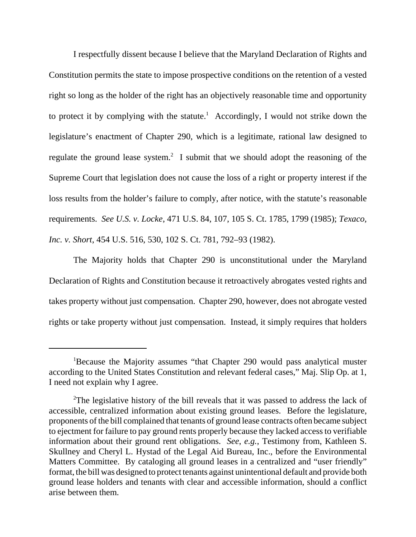I respectfully dissent because I believe that the Maryland Declaration of Rights and Constitution permits the state to impose prospective conditions on the retention of a vested right so long as the holder of the right has an objectively reasonable time and opportunity to protect it by complying with the statute.<sup>1</sup> Accordingly, I would not strike down the legislature's enactment of Chapter 290, which is a legitimate, rational law designed to regulate the ground lease system.<sup>2</sup> I submit that we should adopt the reasoning of the Supreme Court that legislation does not cause the loss of a right or property interest if the loss results from the holder's failure to comply, after notice, with the statute's reasonable requirements. *See U.S. v. Locke*, 471 U.S. 84, 107, 105 S. Ct. 1785, 1799 (1985); *Texaco, Inc. v. Short*, 454 U.S. 516, 530, 102 S. Ct. 781, 792–93 (1982).

The Majority holds that Chapter 290 is unconstitutional under the Maryland Declaration of Rights and Constitution because it retroactively abrogates vested rights and takes property without just compensation. Chapter 290, however, does not abrogate vested rights or take property without just compensation. Instead, it simply requires that holders

<sup>&</sup>lt;sup>1</sup>Because the Majority assumes "that Chapter 290 would pass analytical muster according to the United States Constitution and relevant federal cases," Maj. Slip Op. at 1, I need not explain why I agree.

<sup>&</sup>lt;sup>2</sup>The legislative history of the bill reveals that it was passed to address the lack of accessible, centralized information about existing ground leases. Before the legislature, proponents of the bill complained that tenants of ground lease contracts often became subject to ejectment for failure to pay ground rents properly because they lacked access to verifiable information about their ground rent obligations. *See*, *e.g.*, Testimony from, Kathleen S. Skullney and Cheryl L. Hystad of the Legal Aid Bureau, Inc., before the Environmental Matters Committee. By cataloging all ground leases in a centralized and "user friendly" format, the bill was designed to protect tenants against unintentional default and provide both ground lease holders and tenants with clear and accessible information, should a conflict arise between them.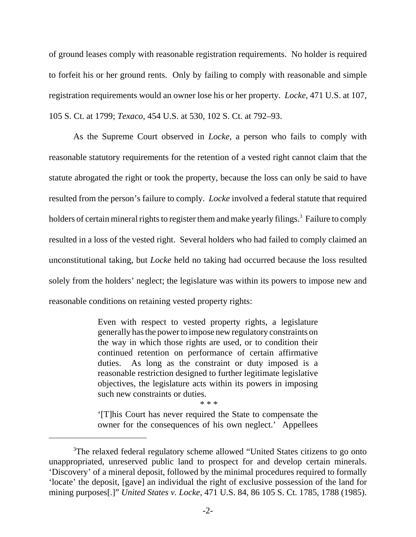of ground leases comply with reasonable registration requirements. No holder is required to forfeit his or her ground rents. Only by failing to comply with reasonable and simple registration requirements would an owner lose his or her property. *Locke*, 471 U.S. at 107, 105 S. Ct. at 1799; *Texaco*, 454 U.S. at 530, 102 S. Ct. at 792–93.

As the Supreme Court observed in *Locke*, a person who fails to comply with reasonable statutory requirements for the retention of a vested right cannot claim that the statute abrogated the right or took the property, because the loss can only be said to have resulted from the person's failure to comply. *Locke* involved a federal statute that required holders of certain mineral rights to register them and make yearly filings.<sup>3</sup> Failure to comply resulted in a loss of the vested right. Several holders who had failed to comply claimed an unconstitutional taking, but *Locke* held no taking had occurred because the loss resulted solely from the holders' neglect; the legislature was within its powers to impose new and reasonable conditions on retaining vested property rights:

> Even with respect to vested property rights, a legislature generally has the power to impose new regulatory constraints on the way in which those rights are used, or to condition their continued retention on performance of certain affirmative duties. As long as the constraint or duty imposed is a reasonable restriction designed to further legitimate legislative objectives, the legislature acts within its powers in imposing such new constraints or duties.

\* \* \*

'[T]his Court has never required the State to compensate the owner for the consequences of his own neglect.' Appellees

<sup>&</sup>lt;sup>3</sup>The relaxed federal regulatory scheme allowed "United States citizens to go onto unappropriated, unreserved public land to prospect for and develop certain minerals. 'Discovery' of a mineral deposit, followed by the minimal procedures required to formally 'locate' the deposit, [gave] an individual the right of exclusive possession of the land for mining purposes[.]" *United States v. Locke*, 471 U.S. 84, 86 105 S. Ct. 1785, 1788 (1985).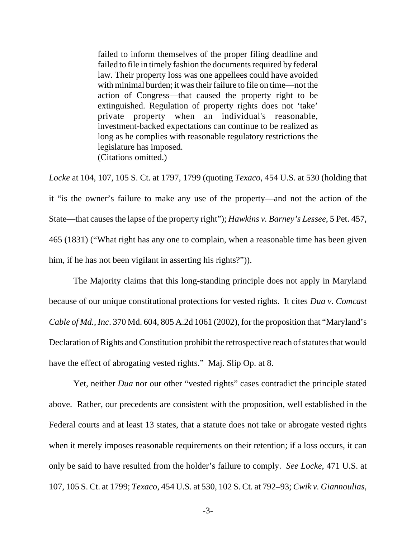failed to inform themselves of the proper filing deadline and failed to file in timely fashion the documents required by federal law. Their property loss was one appellees could have avoided with minimal burden; it was their failure to file on time—not the action of Congress—that caused the property right to be extinguished. Regulation of property rights does not 'take' private property when an individual's reasonable, investment-backed expectations can continue to be realized as long as he complies with reasonable regulatory restrictions the legislature has imposed. (Citations omitted.)

*Locke* at 104, 107, 105 S. Ct. at 1797, 1799 (quoting *Texaco*, 454 U.S. at 530 (holding that it "is the owner's failure to make any use of the property—and not the action of the State—that causes the lapse of the property right"); *Hawkins v. Barney's Lessee*, 5 Pet. 457, 465 (1831) ("What right has any one to complain, when a reasonable time has been given him, if he has not been vigilant in asserting his rights?").

The Majority claims that this long-standing principle does not apply in Maryland because of our unique constitutional protections for vested rights. It cites *Dua v. Comcast Cable of Md., Inc*. 370 Md. 604, 805 A.2d 1061 (2002), for the proposition that "Maryland's Declaration of Rights and Constitution prohibit the retrospective reach of statutes that would have the effect of abrogating vested rights." Maj. Slip Op. at 8.

Yet, neither *Dua* nor our other "vested rights" cases contradict the principle stated above. Rather, our precedents are consistent with the proposition, well established in the Federal courts and at least 13 states, that a statute does not take or abrogate vested rights when it merely imposes reasonable requirements on their retention; if a loss occurs, it can only be said to have resulted from the holder's failure to comply. *See Locke*, 471 U.S. at 107, 105 S. Ct. at 1799; *Texaco*, 454 U.S. at 530, 102 S. Ct. at 792–93; *Cwik v. Giannoulias*,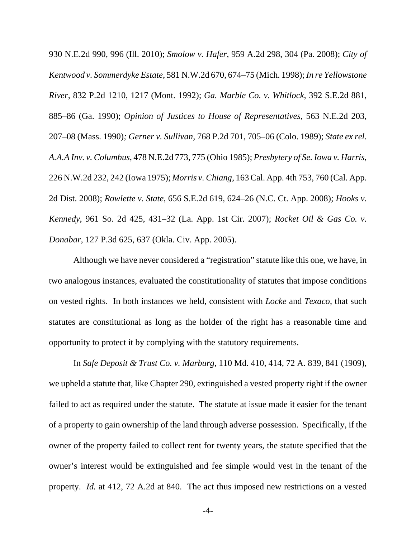930 N.E.2d 990, 996 (Ill. 2010); *Smolow v. Hafer*, 959 A.2d 298, 304 (Pa. 2008); *City of Kentwood v. Sommerdyke Estate*, 581 N.W.2d 670, 674–75 (Mich. 1998); *In re Yellowstone River*, 832 P.2d 1210, 1217 (Mont. 1992); *Ga. Marble Co. v. Whitlock*, 392 S.E.2d 881, 885–86 (Ga. 1990); *Opinion of Justices to House of Representatives*, 563 N.E.2d 203, 207–08 (Mass. 1990)*; Gerner v. Sullivan*, 768 P.2d 701, 705–06 (Colo. 1989); *State ex rel. A.A.A Inv. v. Columbus*, 478 N.E.2d 773, 775 (Ohio 1985); *Presbytery of Se. Iowa v. Harris*, 226 N.W.2d 232, 242 (Iowa 1975); *Morris v. Chiang*, 163 Cal. App. 4th 753, 760 (Cal. App. 2d Dist. 2008); *Rowlette v. State*, 656 S.E.2d 619, 624–26 (N.C. Ct. App. 2008); *Hooks v. Kennedy*, 961 So. 2d 425, 431–32 (La. App. 1st Cir. 2007); *Rocket Oil & Gas Co. v. Donabar*, 127 P.3d 625, 637 (Okla. Civ. App. 2005).

Although we have never considered a "registration" statute like this one, we have, in two analogous instances, evaluated the constitutionality of statutes that impose conditions on vested rights. In both instances we held, consistent with *Locke* and *Texaco*, that such statutes are constitutional as long as the holder of the right has a reasonable time and opportunity to protect it by complying with the statutory requirements.

In *Safe Deposit & Trust Co. v. Marburg*, 110 Md. 410, 414, 72 A. 839, 841 (1909), we upheld a statute that, like Chapter 290, extinguished a vested property right if the owner failed to act as required under the statute. The statute at issue made it easier for the tenant of a property to gain ownership of the land through adverse possession. Specifically, if the owner of the property failed to collect rent for twenty years, the statute specified that the owner's interest would be extinguished and fee simple would vest in the tenant of the property. *Id.* at 412, 72 A.2d at 840. The act thus imposed new restrictions on a vested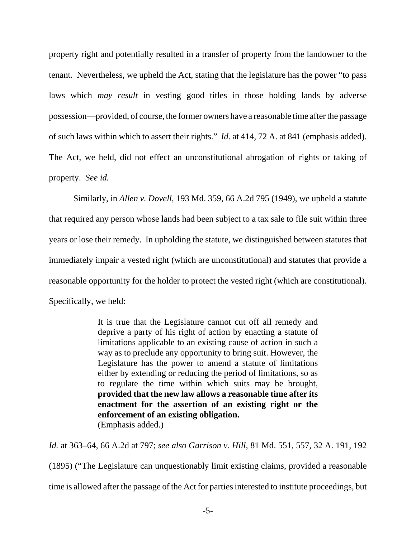property right and potentially resulted in a transfer of property from the landowner to the tenant. Nevertheless, we upheld the Act, stating that the legislature has the power "to pass laws which *may result* in vesting good titles in those holding lands by adverse possession—provided, of course, the former owners have a reasonable time after the passage of such laws within which to assert their rights." *Id.* at 414, 72 A. at 841 (emphasis added). The Act, we held, did not effect an unconstitutional abrogation of rights or taking of property. *See id.*

Similarly, in *Allen v. Dovell*, 193 Md. 359, 66 A.2d 795 (1949), we upheld a statute that required any person whose lands had been subject to a tax sale to file suit within three years or lose their remedy. In upholding the statute, we distinguished between statutes that immediately impair a vested right (which are unconstitutional) and statutes that provide a reasonable opportunity for the holder to protect the vested right (which are constitutional). Specifically, we held:

> It is true that the Legislature cannot cut off all remedy and deprive a party of his right of action by enacting a statute of limitations applicable to an existing cause of action in such a way as to preclude any opportunity to bring suit. However, the Legislature has the power to amend a statute of limitations either by extending or reducing the period of limitations, so as to regulate the time within which suits may be brought, **provided that the new law allows a reasonable time after its enactment for the assertion of an existing right or the enforcement of an existing obligation.** (Emphasis added.)

*Id.* at 363–64, 66 A.2d at 797; *see also Garrison v. Hill*, 81 Md. 551, 557, 32 A. 191, 192 (1895) ("The Legislature can unquestionably limit existing claims, provided a reasonable time is allowed after the passage of the Act for parties interested to institute proceedings, but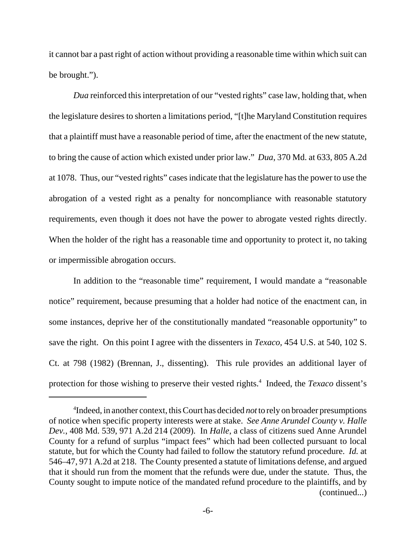it cannot bar a past right of action without providing a reasonable time within which suit can be brought.").

*Dua* reinforced this interpretation of our "vested rights" case law, holding that, when the legislature desires to shorten a limitations period, "[t]he Maryland Constitution requires that a plaintiff must have a reasonable period of time, after the enactment of the new statute, to bring the cause of action which existed under prior law." *Dua*, 370 Md. at 633, 805 A.2d at 1078. Thus, our "vested rights" cases indicate that the legislature has the power to use the abrogation of a vested right as a penalty for noncompliance with reasonable statutory requirements, even though it does not have the power to abrogate vested rights directly. When the holder of the right has a reasonable time and opportunity to protect it, no taking or impermissible abrogation occurs.

In addition to the "reasonable time" requirement, I would mandate a "reasonable notice" requirement, because presuming that a holder had notice of the enactment can, in some instances, deprive her of the constitutionally mandated "reasonable opportunity" to save the right. On this point I agree with the dissenters in *Texaco,* 454 U.S. at 540, 102 S. Ct. at 798 (1982) (Brennan, J., dissenting). This rule provides an additional layer of protection for those wishing to preserve their vested rights.<sup>4</sup> Indeed, the *Texaco* dissent's

<sup>4</sup> Indeed, in another context, this Court has decided *not* to rely on broader presumptions of notice when specific property interests were at stake. *See Anne Arundel County v. Halle Dev.*, 408 Md. 539, 971 A.2d 214 (2009). In *Halle*, a class of citizens sued Anne Arundel County for a refund of surplus "impact fees" which had been collected pursuant to local statute, but for which the County had failed to follow the statutory refund procedure. *Id.* at 546–47, 971 A.2d at 218. The County presented a statute of limitations defense, and argued that it should run from the moment that the refunds were due, under the statute. Thus, the County sought to impute notice of the mandated refund procedure to the plaintiffs, and by (continued...)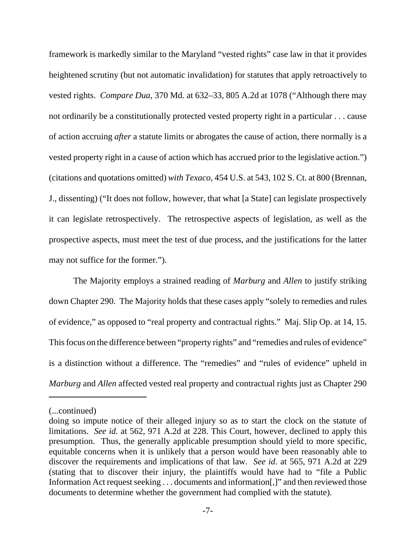framework is markedly similar to the Maryland "vested rights" case law in that it provides heightened scrutiny (but not automatic invalidation) for statutes that apply retroactively to vested rights. *Compare Dua*, 370 Md. at 632–33, 805 A.2d at 1078 ("Although there may not ordinarily be a constitutionally protected vested property right in a particular . . . cause of action accruing *after* a statute limits or abrogates the cause of action, there normally is a vested property right in a cause of action which has accrued prior to the legislative action.") (citations and quotations omitted) *with Texaco*, 454 U.S. at 543, 102 S. Ct. at 800 (Brennan, J., dissenting) ("It does not follow, however, that what [a State] can legislate prospectively it can legislate retrospectively. The retrospective aspects of legislation, as well as the prospective aspects, must meet the test of due process, and the justifications for the latter may not suffice for the former.").

The Majority employs a strained reading of *Marburg* and *Allen* to justify striking down Chapter 290. The Majority holds that these cases apply "solely to remedies and rules of evidence," as opposed to "real property and contractual rights." Maj. Slip Op. at 14, 15. This focus on the difference between "property rights" and "remedies and rules of evidence" is a distinction without a difference. The "remedies" and "rules of evidence" upheld in *Marburg* and *Allen* affected vested real property and contractual rights just as Chapter 290

<sup>(...</sup>continued)

doing so impute notice of their alleged injury so as to start the clock on the statute of limitations. *See id.* at 562, 971 A.2d at 228. This Court, however, declined to apply this presumption. Thus, the generally applicable presumption should yield to more specific, equitable concerns when it is unlikely that a person would have been reasonably able to discover the requirements and implications of that law. *See id*. at 565, 971 A.2d at 229 (stating that to discover their injury, the plaintiffs would have had to "file a Public Information Act request seeking . . . documents and information[,]" and then reviewed those documents to determine whether the government had complied with the statute).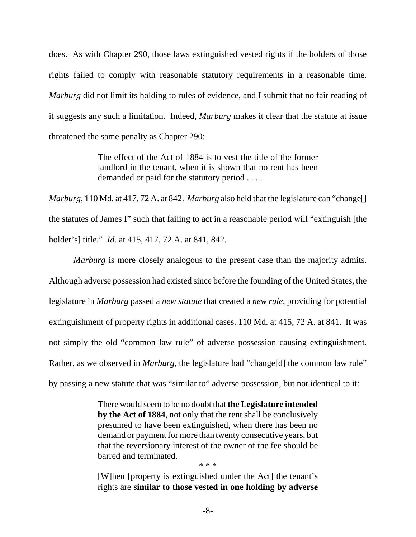does. As with Chapter 290, those laws extinguished vested rights if the holders of those rights failed to comply with reasonable statutory requirements in a reasonable time. *Marburg* did not limit its holding to rules of evidence, and I submit that no fair reading of it suggests any such a limitation. Indeed, *Marburg* makes it clear that the statute at issue threatened the same penalty as Chapter 290:

> The effect of the Act of 1884 is to vest the title of the former landlord in the tenant, when it is shown that no rent has been demanded or paid for the statutory period . . . .

*Marburg*, 110 Md. at 417, 72 A. at 842. *Marburg* also held that the legislature can "change[] the statutes of James I" such that failing to act in a reasonable period will "extinguish [the holder's] title." *Id.* at 415, 417, 72 A. at 841, 842.

*Marburg* is more closely analogous to the present case than the majority admits. Although adverse possession had existed since before the founding of the United States, the legislature in *Marburg* passed a *new statute* that created a *new rule*, providing for potential extinguishment of property rights in additional cases. 110 Md. at 415, 72 A. at 841. It was not simply the old "common law rule" of adverse possession causing extinguishment. Rather, as we observed in *Marburg*, the legislature had "change[d] the common law rule" by passing a new statute that was "similar to" adverse possession, but not identical to it:

> There would seem to be no doubt that **the Legislature intended by the Act of 1884**, not only that the rent shall be conclusively presumed to have been extinguished, when there has been no demand or payment for more than twenty consecutive years, but that the reversionary interest of the owner of the fee should be barred and terminated.

> [W]hen [property is extinguished under the Act] the tenant's rights are **similar to those vested in one holding by adverse**

\* \* \*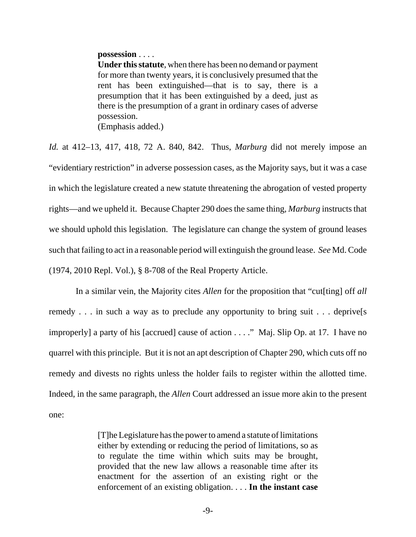#### **possession** . . . .

**Under this statute**, when there has been no demand or payment for more than twenty years, it is conclusively presumed that the rent has been extinguished—that is to say, there is a presumption that it has been extinguished by a deed, just as there is the presumption of a grant in ordinary cases of adverse possession. (Emphasis added.)

*Id.* at 412–13, 417, 418, 72 A. 840, 842. Thus, *Marburg* did not merely impose an "evidentiary restriction" in adverse possession cases, as the Majority says, but it was a case in which the legislature created a new statute threatening the abrogation of vested property rights—and we upheld it. Because Chapter 290 does the same thing, *Marburg* instructs that we should uphold this legislation. The legislature can change the system of ground leases such that failing to act in a reasonable period will extinguish the ground lease. *See* Md. Code (1974, 2010 Repl. Vol.), § 8-708 of the Real Property Article.

 In a similar vein, the Majority cites *Allen* for the proposition that "cut[ting] off *all* remedy . . . in such a way as to preclude any opportunity to bring suit . . . deprive[s improperly] a party of his [accrued] cause of action . . . ." Maj. Slip Op. at 17. I have no quarrel with this principle. But it is not an apt description of Chapter 290, which cuts off no remedy and divests no rights unless the holder fails to register within the allotted time. Indeed, in the same paragraph, the *Allen* Court addressed an issue more akin to the present one:

> [T]he Legislature has the power to amend a statute of limitations either by extending or reducing the period of limitations, so as to regulate the time within which suits may be brought, provided that the new law allows a reasonable time after its enactment for the assertion of an existing right or the enforcement of an existing obligation. . . . **In the instant case**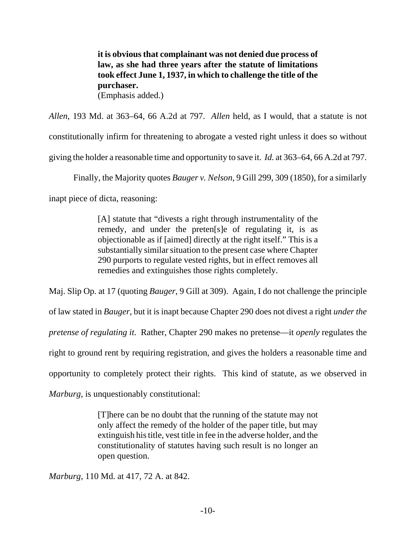**it is obvious that complainant was not denied due process of law, as she had three years after the statute of limitations took effect June 1, 1937, in which to challenge the title of the purchaser.** (Emphasis added.)

*Allen*, 193 Md. at 363–64, 66 A.2d at 797. *Allen* held, as I would, that a statute is not constitutionally infirm for threatening to abrogate a vested right unless it does so without giving the holder a reasonable time and opportunity to save it. *Id.* at 363–64, 66 A.2d at 797.

Finally, the Majority quotes *Bauger v. Nelson*, 9 Gill 299, 309 (1850), for a similarly

inapt piece of dicta, reasoning:

[A] statute that "divests a right through instrumentality of the remedy, and under the preten[s]e of regulating it, is as objectionable as if [aimed] directly at the right itself." This is a substantially similar situation to the present case where Chapter 290 purports to regulate vested rights, but in effect removes all remedies and extinguishes those rights completely.

Maj. Slip Op. at 17 (quoting *Bauger*, 9 Gill at 309). Again, I do not challenge the principle of law stated in *Bauger*, but it is inapt because Chapter 290 does not divest a right *under the pretense of regulating it*. Rather, Chapter 290 makes no pretense—it *openly* regulates the right to ground rent by requiring registration, and gives the holders a reasonable time and opportunity to completely protect their rights. This kind of statute, as we observed in *Marburg*, is unquestionably constitutional:

> [T]here can be no doubt that the running of the statute may not only affect the remedy of the holder of the paper title, but may extinguish his title, vest title in fee in the adverse holder, and the constitutionality of statutes having such result is no longer an open question.

*Marburg*, 110 Md. at 417, 72 A. at 842.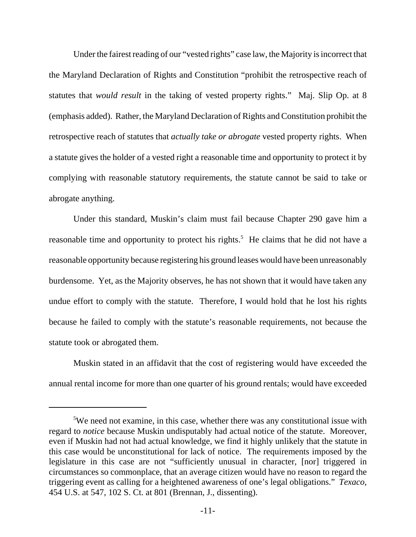Under the fairest reading of our "vested rights" case law, the Majority is incorrect that the Maryland Declaration of Rights and Constitution "prohibit the retrospective reach of statutes that *would result* in the taking of vested property rights." Maj. Slip Op. at 8 (emphasis added). Rather, the Maryland Declaration of Rights and Constitution prohibit the retrospective reach of statutes that *actually take or abrogate* vested property rights. When a statute gives the holder of a vested right a reasonable time and opportunity to protect it by complying with reasonable statutory requirements, the statute cannot be said to take or abrogate anything.

Under this standard, Muskin's claim must fail because Chapter 290 gave him a reasonable time and opportunity to protect his rights.<sup>5</sup> He claims that he did not have a reasonable opportunity because registering his ground leases would have been unreasonably burdensome. Yet, as the Majority observes, he has not shown that it would have taken any undue effort to comply with the statute. Therefore, I would hold that he lost his rights because he failed to comply with the statute's reasonable requirements, not because the statute took or abrogated them.

Muskin stated in an affidavit that the cost of registering would have exceeded the annual rental income for more than one quarter of his ground rentals; would have exceeded

<sup>&</sup>lt;sup>5</sup>We need not examine, in this case, whether there was any constitutional issue with regard to *notice* because Muskin undisputably had actual notice of the statute. Moreover, even if Muskin had not had actual knowledge, we find it highly unlikely that the statute in this case would be unconstitutional for lack of notice. The requirements imposed by the legislature in this case are not "sufficiently unusual in character, [nor] triggered in circumstances so commonplace, that an average citizen would have no reason to regard the triggering event as calling for a heightened awareness of one's legal obligations." *Texaco*, 454 U.S. at 547, 102 S. Ct. at 801 (Brennan, J., dissenting).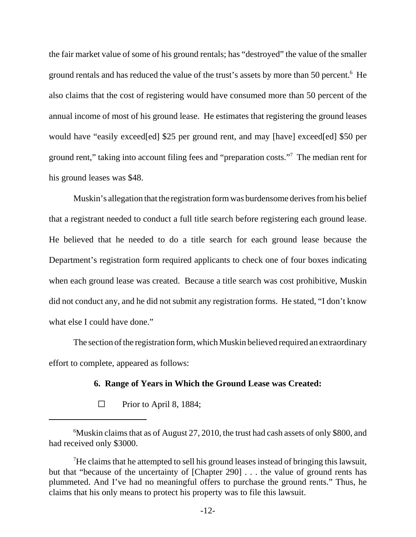the fair market value of some of his ground rentals; has "destroyed" the value of the smaller ground rentals and has reduced the value of the trust's assets by more than 50 percent.<sup>6</sup> He also claims that the cost of registering would have consumed more than 50 percent of the annual income of most of his ground lease. He estimates that registering the ground leases would have "easily exceed[ed] \$25 per ground rent, and may [have] exceed[ed] \$50 per ground rent," taking into account filing fees and "preparation costs."7 The median rent for his ground leases was \$48.

Muskin's allegation that the registration form was burdensome derives from his belief that a registrant needed to conduct a full title search before registering each ground lease. He believed that he needed to do a title search for each ground lease because the Department's registration form required applicants to check one of four boxes indicating when each ground lease was created. Because a title search was cost prohibitive, Muskin did not conduct any, and he did not submit any registration forms. He stated, "I don't know what else I could have done."

The section of the registration form, which Muskin believed required an extraordinary effort to complete, appeared as follows:

### **6. Range of Years in Which the Ground Lease was Created:**

 $\Box$  Prior to April 8, 1884;

 $6$ Muskin claims that as of August 27, 2010, the trust had cash assets of only \$800, and had received only \$3000.

 $7$ He claims that he attempted to sell his ground leases instead of bringing this lawsuit, but that "because of the uncertainty of [Chapter 290] . . . the value of ground rents has plummeted. And I've had no meaningful offers to purchase the ground rents." Thus, he claims that his only means to protect his property was to file this lawsuit.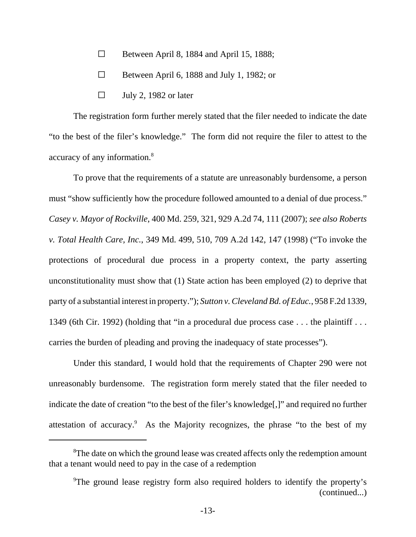- $\Box$  Between April 8, 1884 and April 15, 1888;
- $\Box$  Between April 6, 1888 and July 1, 1982; or
- $\Box$  July 2, 1982 or later

The registration form further merely stated that the filer needed to indicate the date "to the best of the filer's knowledge." The form did not require the filer to attest to the accuracy of any information.8

To prove that the requirements of a statute are unreasonably burdensome, a person must "show sufficiently how the procedure followed amounted to a denial of due process." *Casey v. Mayor of Rockville*, 400 Md. 259, 321, 929 A.2d 74, 111 (2007); *see also Roberts v. Total Health Care, Inc.*, 349 Md. 499, 510, 709 A.2d 142, 147 (1998) ("To invoke the protections of procedural due process in a property context, the party asserting unconstitutionality must show that (1) State action has been employed (2) to deprive that party of a substantial interest in property."); *Sutton v. Cleveland Bd. of Educ.*, 958 F.2d 1339, 1349 (6th Cir. 1992) (holding that "in a procedural due process case . . . the plaintiff . . . carries the burden of pleading and proving the inadequacy of state processes").

Under this standard, I would hold that the requirements of Chapter 290 were not unreasonably burdensome. The registration form merely stated that the filer needed to indicate the date of creation "to the best of the filer's knowledge[,]" and required no further attestation of accuracy.<sup>9</sup> As the Majority recognizes, the phrase "to the best of my

<sup>&</sup>lt;sup>8</sup>The date on which the ground lease was created affects only the redemption amount that a tenant would need to pay in the case of a redemption

<sup>&</sup>lt;sup>9</sup>The ground lease registry form also required holders to identify the property's (continued...)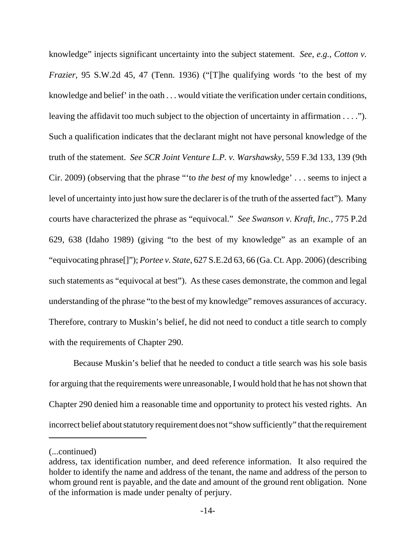knowledge" injects significant uncertainty into the subject statement. *See*, *e.g.*, *Cotton v. Frazier*, 95 S.W.2d 45, 47 (Tenn. 1936) ("The qualifying words 'to the best of my knowledge and belief' in the oath . . . would vitiate the verification under certain conditions, leaving the affidavit too much subject to the objection of uncertainty in affirmation . . . ."). Such a qualification indicates that the declarant might not have personal knowledge of the truth of the statement. *See SCR Joint Venture L.P. v. Warshawsky*, 559 F.3d 133, 139 (9th Cir. 2009) (observing that the phrase "'to *the best of* my knowledge' . . . seems to inject a level of uncertainty into just how sure the declarer is of the truth of the asserted fact"). Many courts have characterized the phrase as "equivocal." *See Swanson v. Kraft, Inc.*, 775 P.2d 629, 638 (Idaho 1989) (giving "to the best of my knowledge" as an example of an "equivocating phrase[]"); *Portee v. State*, 627 S.E.2d 63, 66 (Ga. Ct. App. 2006) (describing such statements as "equivocal at best"). As these cases demonstrate, the common and legal understanding of the phrase "to the best of my knowledge" removes assurances of accuracy. Therefore, contrary to Muskin's belief, he did not need to conduct a title search to comply with the requirements of Chapter 290.

Because Muskin's belief that he needed to conduct a title search was his sole basis for arguing that the requirements were unreasonable, I would hold that he has not shown that Chapter 290 denied him a reasonable time and opportunity to protect his vested rights. An incorrect belief about statutory requirement does not "show sufficiently" that the requirement

<sup>(...</sup>continued)

address, tax identification number, and deed reference information. It also required the holder to identify the name and address of the tenant, the name and address of the person to whom ground rent is payable, and the date and amount of the ground rent obligation. None of the information is made under penalty of perjury.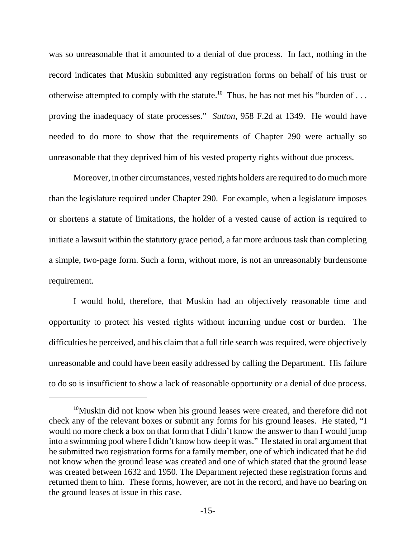was so unreasonable that it amounted to a denial of due process. In fact, nothing in the record indicates that Muskin submitted any registration forms on behalf of his trust or otherwise attempted to comply with the statute.<sup>10</sup> Thus, he has not met his "burden of ... proving the inadequacy of state processes." *Sutton*, 958 F.2d at 1349. He would have needed to do more to show that the requirements of Chapter 290 were actually so unreasonable that they deprived him of his vested property rights without due process.

Moreover, in other circumstances, vested rights holders are required to do much more than the legislature required under Chapter 290. For example, when a legislature imposes or shortens a statute of limitations, the holder of a vested cause of action is required to initiate a lawsuit within the statutory grace period, a far more arduous task than completing a simple, two-page form. Such a form, without more, is not an unreasonably burdensome requirement.

I would hold, therefore, that Muskin had an objectively reasonable time and opportunity to protect his vested rights without incurring undue cost or burden. The difficulties he perceived, and his claim that a full title search was required, were objectively unreasonable and could have been easily addressed by calling the Department. His failure to do so is insufficient to show a lack of reasonable opportunity or a denial of due process.

<sup>&</sup>lt;sup>10</sup>Muskin did not know when his ground leases were created, and therefore did not check any of the relevant boxes or submit any forms for his ground leases. He stated, "I would no more check a box on that form that I didn't know the answer to than I would jump into a swimming pool where I didn't know how deep it was." He stated in oral argument that he submitted two registration forms for a family member, one of which indicated that he did not know when the ground lease was created and one of which stated that the ground lease was created between 1632 and 1950. The Department rejected these registration forms and returned them to him. These forms, however, are not in the record, and have no bearing on the ground leases at issue in this case.